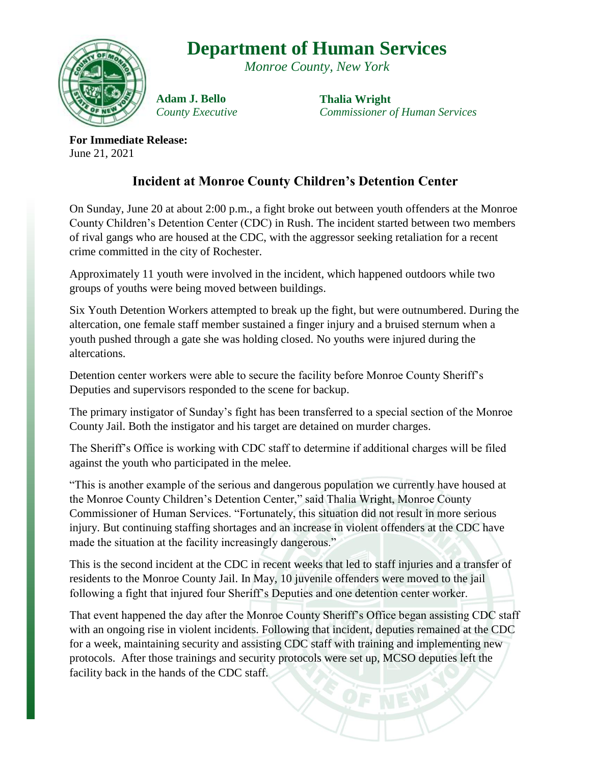## **Department of Human Services**

*Monroe County, New York*



**Adam J. Bello** *County Executive* **Thalia Wright** *Commissioner of Human Services*

**For Immediate Release:** June 21, 2021

## **Incident at Monroe County Children's Detention Center**

On Sunday, June 20 at about 2:00 p.m., a fight broke out between youth offenders at the Monroe County Children's Detention Center (CDC) in Rush. The incident started between two members of rival gangs who are housed at the CDC, with the aggressor seeking retaliation for a recent crime committed in the city of Rochester.

Approximately 11 youth were involved in the incident, which happened outdoors while two groups of youths were being moved between buildings.

Six Youth Detention Workers attempted to break up the fight, but were outnumbered. During the altercation, one female staff member sustained a finger injury and a bruised sternum when a youth pushed through a gate she was holding closed. No youths were injured during the altercations.

Detention center workers were able to secure the facility before Monroe County Sheriff's Deputies and supervisors responded to the scene for backup.

The primary instigator of Sunday's fight has been transferred to a special section of the Monroe County Jail. Both the instigator and his target are detained on murder charges.

The Sheriff's Office is working with CDC staff to determine if additional charges will be filed against the youth who participated in the melee.

"This is another example of the serious and dangerous population we currently have housed at the Monroe County Children's Detention Center," said Thalia Wright, Monroe County Commissioner of Human Services. "Fortunately, this situation did not result in more serious injury. But continuing staffing shortages and an increase in violent offenders at the CDC have made the situation at the facility increasingly dangerous."

This is the second incident at the CDC in recent weeks that led to staff injuries and a transfer of residents to the Monroe County Jail. In May, 10 juvenile offenders were moved to the jail following a fight that injured four Sheriff's Deputies and one detention center worker.

That event happened the day after the Monroe County Sheriff's Office began assisting CDC staff with an ongoing rise in violent incidents. Following that incident, deputies remained at the CDC for a week, maintaining security and assisting CDC staff with training and implementing new protocols. After those trainings and security protocols were set up, MCSO deputies left the facility back in the hands of the CDC staff.